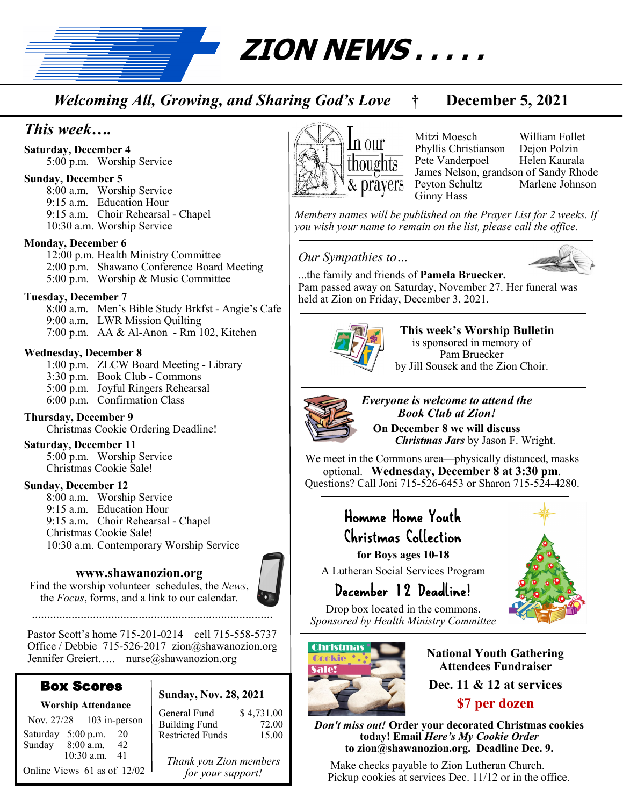**ZION NEWS . . . . .** 

*Welcoming All, Growing, and Sharing God's Love* **† December 5, 2021**

# *This week….*

**Saturday, December 4** 5:00 p.m. Worship Service

#### **Sunday, December 5**

8:00 a.m. Worship Service 9:15 a.m. Education Hour 9:15 a.m. Choir Rehearsal - Chapel 10:30 a.m. Worship Service

#### **Monday, December 6**

12:00 p.m. Health Ministry Committee 2:00 p.m. Shawano Conference Board Meeting 5:00 p.m. Worship & Music Committee

### **Tuesday, December 7**

8:00 a.m. Men's Bible Study Brkfst - Angie's Cafe 9:00 a.m. LWR Mission Quilting 7:00 p.m. AA & Al-Anon - Rm 102, Kitchen

### **Wednesday, December 8**

1:00 p.m. ZLCW Board Meeting - Library 3:30 p.m. Book Club - Commons 5:00 p.m. Joyful Ringers Rehearsal 6:00 p.m. Confirmation Class

## **Thursday, December 9**

Christmas Cookie Ordering Deadline!

#### **Saturday, December 11**

5:00 p.m. Worship Service Christmas Cookie Sale!

#### **Sunday, December 12**

8:00 a.m. Worship Service 9:15 a.m. Education Hour 9:15 a.m. Choir Rehearsal - Chapel Christmas Cookie Sale! 10:30 a.m. Contemporary Worship Service

### **www.shawanozion.org**

Find the worship volunteer schedules, the *News*, the *Focus*, forms, and a link to our calendar.

Pastor Scott's home 715-201-0214 cell 715-558-5737 Office / Debbie 715-526-2017 zion@shawanozion.org Jennifer Greiert….. nurse@shawanozion.org

## Box Scores

Nov. 27/28 103 in-person Saturday 5:00 p.m. 20 Sunday 8:00 a.m. 42

 10:30 a.m. 41 Online Views 61 as of 12/02

#### **Worship Attendance Sunday, Nov. 28, 2021**

General Fund \$4,731.00<br>Building Fund 72.00 Building Fund 72.00<br>Restricted Funds 15.00 Restricted Funds

*Thank you Zion members for your support!*



Mitzi Moesch William Follet Phyllis Christianson Dejon Polzin Pete Vanderpoel James Nelson, grandson of Sandy Rhode Peyton Schultz Ginny Hass

*Members names will be published on the Prayer List for 2 weeks. If you wish your name to remain on the list, please call the office.*

### *Our Sympathies to…*



...the family and friends of **Pamela Bruecker.**  Pam passed away on Saturday, November 27. Her funeral was held at Zion on Friday, December 3, 2021.



**This week's Worship Bulletin**  is sponsored in memory of Pam Bruecker by Jill Sousek and the Zion Choir.



*Everyone is welcome to attend the Book Club at Zion!* **On December 8 we will discuss**   *Christmas Jars* by Jason F. Wright.

We meet in the Commons area—physically distanced, masks optional. **Wednesday, December 8 at 3:30 pm**. Questions? Call Joni 715-526-6453 or Sharon 715-524-4280.

# Homme Home Youth Christmas Collection

**for Boys ages 10-18**

A Lutheran Social Services Program

# December 12 Deadline!

Drop box located in the commons. *Sponsored by Health Ministry Committee*



**National Youth Gathering Attendees Fundraiser Dec. 11 & 12 at services \$7 per dozen** 

*Don't miss out!* **Order your decorated Christmas cookies today! Email** *Here's My Cookie Order*  **to zion@shawanozion.org. Deadline Dec. 9.**

Make checks payable to Zion Lutheran Church. Pickup cookies at services Dec. 11/12 or in the office.